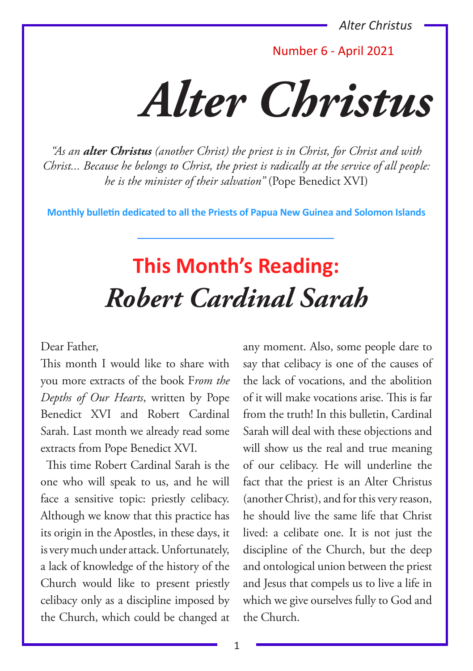Number 6 - April 2021

*Alter Christus*

*"As an alter Christus (another Christ) the priest is in Christ, for Christ and with Christ... Because he belongs to Christ, the priest is radically at the service of all people: he is the minister of their salvation"* (Pope Benedict XVI)

**Monthly bulletin dedicated to all the Priests of Papua New Guinea and Solomon Islands**

### **This Month's Reading:** *Robert Cardinal Sarah*

#### Dear Father,

This month I would like to share with you more extracts of the book F*rom the Depths of Our Hearts*, written by Pope Benedict XVI and Robert Cardinal Sarah. Last month we already read some extracts from Pope Benedict XVI.

This time Robert Cardinal Sarah is the one who will speak to us, and he will face a sensitive topic: priestly celibacy. Although we know that this practice has its origin in the Apostles, in these days, it is very much under attack. Unfortunately, a lack of knowledge of the history of the Church would like to present priestly celibacy only as a discipline imposed by the Church, which could be changed at

any moment. Also, some people dare to say that celibacy is one of the causes of the lack of vocations, and the abolition of it will make vocations arise. This is far from the truth! In this bulletin, Cardinal Sarah will deal with these objections and will show us the real and true meaning of our celibacy. He will underline the fact that the priest is an Alter Christus (another Christ), and for this very reason, he should live the same life that Christ lived: a celibate one. It is not just the discipline of the Church, but the deep and ontological union between the priest and Jesus that compels us to live a life in which we give ourselves fully to God and the Church.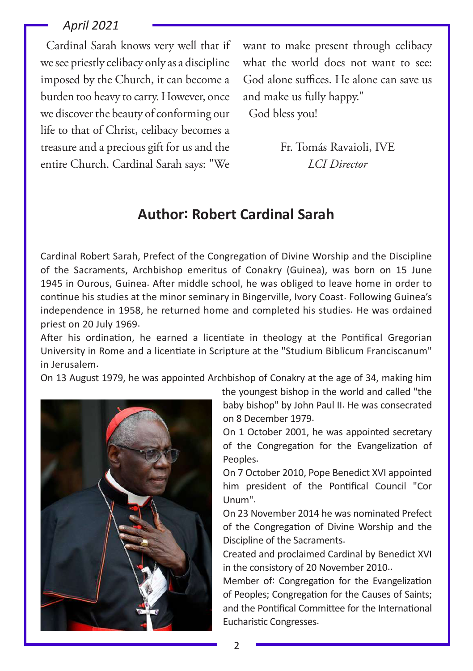Cardinal Sarah knows very well that if we see priestly celibacy only as a discipline imposed by the Church, it can become a burden too heavy to carry. However, once we discover the beauty of conforming our life to that of Christ, celibacy becomes a treasure and a precious gift for us and the entire Church. Cardinal Sarah says: "We

want to make present through celibacy what the world does not want to see: God alone suffices. He alone can save us and make us fully happy."

God bless you!

Fr. Tomás Ravaioli, IVE *LCI Director*

#### **Author: Robert Cardinal Sarah**

Cardinal Robert Sarah, Prefect of the Congregation of Divine Worship and the Discipline of the Sacraments, Archbishop emeritus of Conakry (Guinea), was born on 15 June 1945 in Ourous, Guinea. After middle school, he was obliged to leave home in order to continue his studies at the minor seminary in Bingerville, Ivory Coast. Following Guinea's independence in 1958, he returned home and completed his studies. He was ordained priest on 20 July 1969.

After his ordination, he earned a licentiate in theology at the Pontifical Gregorian University in Rome and a licentiate in Scripture at the "Studium Biblicum Franciscanum" in Jerusalem.

On 13 August 1979, he was appointed Archbishop of Conakry at the age of 34, making him



the youngest bishop in the world and called "the baby bishop" by John Paul II. He was consecrated on 8 December 1979.

On 1 October 2001, he was appointed secretary of the Congregation for the Evangelization of Peoples.

On 7 October 2010, Pope Benedict XVI appointed him president of the Pontifical Council "Cor Unum".

On 23 November 2014 he was nominated Prefect of the Congregation of Divine Worship and the Discipline of the Sacraments.

Created and proclaimed Cardinal by Benedict XVI in the consistory of 20 November 2010..

Member of: Congregation for the Evangelization of Peoples; Congregation for the Causes of Saints; and the Pontifical Committee for the International Eucharistic Congresses.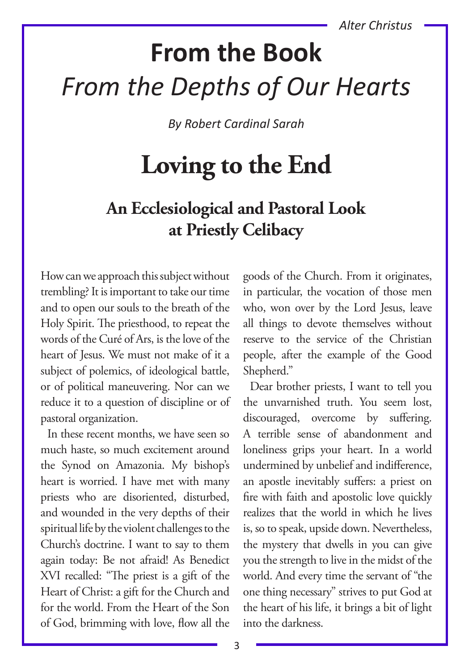# **From the Book** *From the Depths of Our Hearts*

*By Robert Cardinal Sarah*

## **Loving to the End**

### **An Ecclesiological and Pastoral Look at Priestly Celibacy**

How can we approach this subject without trembling? It is important to take our time and to open our souls to the breath of the Holy Spirit. The priesthood, to repeat the words of the Curé of Ars, is the love of the heart of Jesus. We must not make of it a subject of polemics, of ideological battle, or of political maneuvering. Nor can we reduce it to a question of discipline or of pastoral organization.

In these recent months, we have seen so much haste, so much excitement around the Synod on Amazonia. My bishop's heart is worried. I have met with many priests who are disoriented, disturbed, and wounded in the very depths of their spiritual life by the violent challenges to the Church's doctrine. I want to say to them again today: Be not afraid! As Benedict XVI recalled: "The priest is a gift of the Heart of Christ: a gift for the Church and for the world. From the Heart of the Son of God, brimming with love, flow all the

goods of the Church. From it originates, in particular, the vocation of those men who, won over by the Lord Jesus, leave all things to devote themselves without reserve to the service of the Christian people, after the example of the Good Shepherd."

Dear brother priests, I want to tell you the unvarnished truth. You seem lost, discouraged, overcome by suffering. A terrible sense of abandonment and loneliness grips your heart. In a world undermined by unbelief and indifference, an apostle inevitably suffers: a priest on fire with faith and apostolic love quickly realizes that the world in which he lives is, so to speak, upside down. Nevertheless, the mystery that dwells in you can give you the strength to live in the midst of the world. And every time the servant of "the one thing necessary" strives to put God at the heart of his life, it brings a bit of light into the darkness.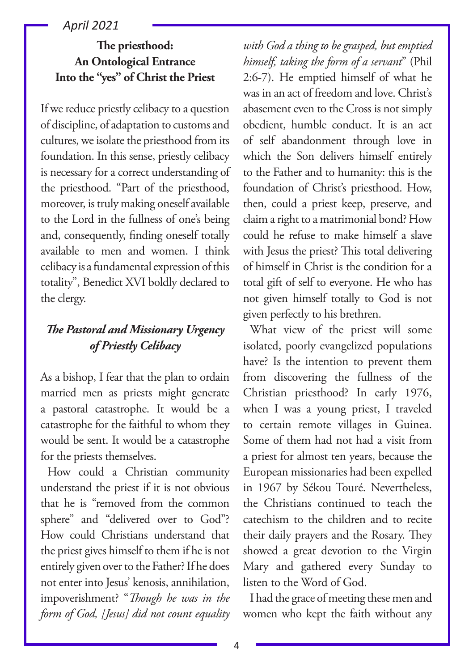#### **The priesthood: An Ontological Entrance Into the "yes" of Christ the Priest**

If we reduce priestly celibacy to a question of discipline, of adaptation to customs and cultures, we isolate the priesthood from its foundation. In this sense, priestly celibacy is necessary for a correct understanding of the priesthood. "Part of the priesthood, moreover, is truly making oneself available to the Lord in the fullness of one's being and, consequently, finding oneself totally available to men and women. I think celibacy is a fundamental expression of this totality", Benedict XVI boldly declared to the clergy.

#### *The Pastoral and Missionary Urgency of Priestly Celibacy*

As a bishop, I fear that the plan to ordain married men as priests might generate a pastoral catastrophe. It would be a catastrophe for the faithful to whom they would be sent. It would be a catastrophe for the priests themselves.

How could a Christian community understand the priest if it is not obvious that he is "removed from the common sphere" and "delivered over to God"? How could Christians understand that the priest gives himself to them if he is not entirely given over to the Father? If he does not enter into Jesus' kenosis, annihilation, impoverishment? "*Though he was in the form of God, [Jesus] did not count equality*  *with God a thing to be grasped, but emptied himself, taking the form of a servant*" (Phil 2:6-7). He emptied himself of what he was in an act of freedom and love. Christ's abasement even to the Cross is not simply obedient, humble conduct. It is an act of self abandonment through love in which the Son delivers himself entirely to the Father and to humanity: this is the foundation of Christ's priesthood. How, then, could a priest keep, preserve, and claim a right to a matrimonial bond? How could he refuse to make himself a slave with Jesus the priest? This total delivering of himself in Christ is the condition for a total gift of self to everyone. He who has not given himself totally to God is not given perfectly to his brethren.

What view of the priest will some isolated, poorly evangelized populations have? Is the intention to prevent them from discovering the fullness of the Christian priesthood? In early 1976, when I was a young priest, I traveled to certain remote villages in Guinea. Some of them had not had a visit from a priest for almost ten years, because the European missionaries had been expelled in 1967 by Sékou Touré. Nevertheless, the Christians continued to teach the catechism to the children and to recite their daily prayers and the Rosary. They showed a great devotion to the Virgin Mary and gathered every Sunday to listen to the Word of God.

I had the grace of meeting these men and women who kept the faith without any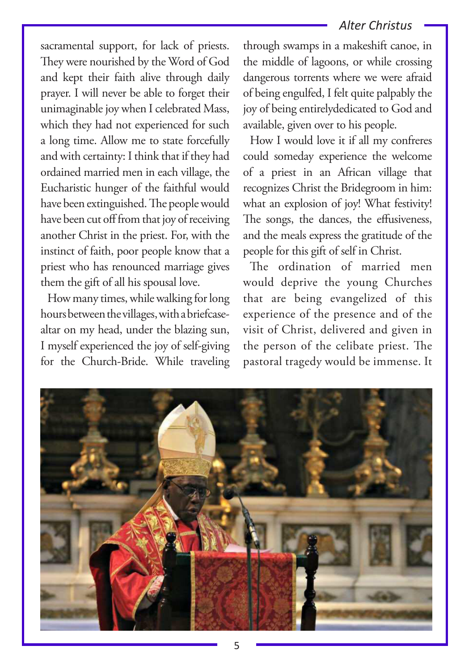sacramental support, for lack of priests. They were nourished by the Word of God and kept their faith alive through daily prayer. I will never be able to forget their unimaginable joy when I celebrated Mass, which they had not experienced for such a long time. Allow me to state forcefully and with certainty: I think that if they had ordained married men in each village, the Eucharistic hunger of the faithful would have been extinguished. The people would have been cut off from that joy of receiving another Christ in the priest. For, with the instinct of faith, poor people know that a priest who has renounced marriage gives them the gift of all his spousal love.

How many times, while walking for long hours between the villages, with a briefcasealtar on my head, under the blazing sun, I myself experienced the joy of self-giving for the Church-Bride. While traveling

through swamps in a makeshift canoe, in the middle of lagoons, or while crossing dangerous torrents where we were afraid of being engulfed, I felt quite palpably the joy of being entirelydedicated to God and available, given over to his people.

How I would love it if all my confreres could someday experience the welcome of a priest in an African village that recognizes Christ the Bridegroom in him: what an explosion of joy! What festivity! The songs, the dances, the effusiveness, and the meals express the gratitude of the people for this gift of self in Christ.

The ordination of married men would deprive the young Churches that are being evangelized of this experience of the presence and of the visit of Christ, delivered and given in the person of the celibate priest. The pastoral tragedy would be immense. It

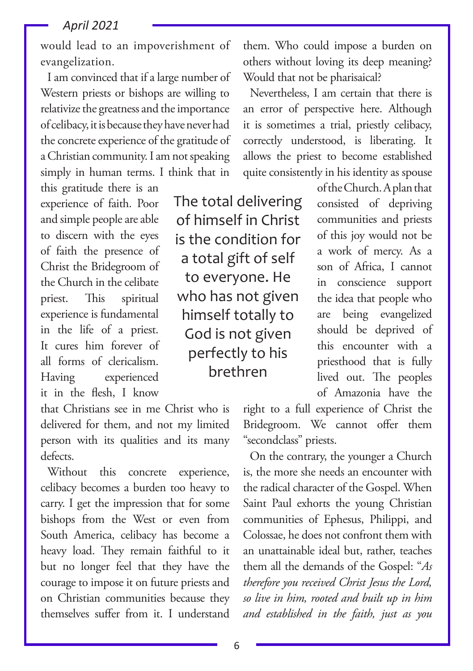would lead to an impoverishment of evangelization.

I am convinced that if a large number of Western priests or bishops are willing to relativize the greatness and the importance of celibacy, it is because they have never had the concrete experience of the gratitude of a Christian community. I am not speaking simply in human terms. I think that in

this gratitude there is an experience of faith. Poor and simple people are able to discern with the eyes of faith the presence of Christ the Bridegroom of the Church in the celibate priest. This spiritual experience is fundamental in the life of a priest. It cures him forever of all forms of clericalism. Having experienced it in the flesh, I know

The total delivering of himself in Christ is the condition for a total gift of self to everyone. He who has not given himself totally to God is not given perfectly to his brethren

them. Who could impose a burden on others without loving its deep meaning? Would that not be pharisaical?

Nevertheless, I am certain that there is an error of perspective here. Although it is sometimes a trial, priestly celibacy, correctly understood, is liberating. It allows the priest to become established quite consistently in his identity as spouse

> of the Church. A plan that consisted of depriving communities and priests of this joy would not be a work of mercy. As a son of Africa, I cannot in conscience support the idea that people who are being evangelized should be deprived of this encounter with a priesthood that is fully lived out. The peoples of Amazonia have the

that Christians see in me Christ who is delivered for them, and not my limited person with its qualities and its many defects.

Without this concrete experience, celibacy becomes a burden too heavy to carry. I get the impression that for some bishops from the West or even from South America, celibacy has become a heavy load. They remain faithful to it but no longer feel that they have the courage to impose it on future priests and on Christian communities because they themselves suffer from it. I understand

right to a full experience of Christ the Bridegroom. We cannot offer them "secondclass" priests.

On the contrary, the younger a Church is, the more she needs an encounter with the radical character of the Gospel. When Saint Paul exhorts the young Christian communities of Ephesus, Philippi, and Colossae, he does not confront them with an unattainable ideal but, rather, teaches them all the demands of the Gospel: "*As therefore you received Christ Jesus the Lord, so live in him, rooted and built up in him and established in the faith, just as you*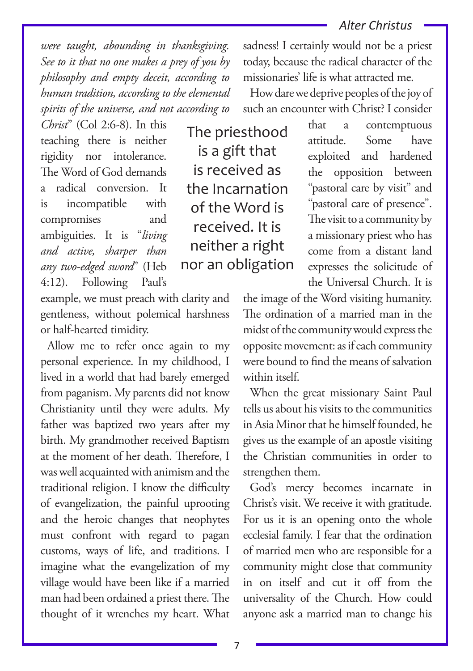*were taught, abounding in thanksgiving. See to it that no one makes a prey of you by philosophy and empty deceit, according to human tradition, according to the elemental spirits of the universe, and not according to* 

*Christ*" (Col 2:6-8). In this teaching there is neither rigidity nor intolerance. The Word of God demands a radical conversion. It is incompatible with compromises and ambiguities. It is "*living and active, sharper than any two-edged sword*" (Heb 4:12). Following Paul's

The priesthood is a gift that is received as the Incarnation of the Word is received. It is neither a right nor an obligation

example, we must preach with clarity and gentleness, without polemical harshness or half-hearted timidity.

Allow me to refer once again to my personal experience. In my childhood, I lived in a world that had barely emerged from paganism. My parents did not know Christianity until they were adults. My father was baptized two years after my birth. My grandmother received Baptism at the moment of her death. Therefore, I was well acquainted with animism and the traditional religion. I know the difficulty of evangelization, the painful uprooting and the heroic changes that neophytes must confront with regard to pagan customs, ways of life, and traditions. I imagine what the evangelization of my village would have been like if a married man had been ordained a priest there. The thought of it wrenches my heart. What

sadness! I certainly would not be a priest today, because the radical character of the missionaries' life is what attracted me.

How dare we deprive peoples of the joy of such an encounter with Christ? I consider

> that a contemptuous attitude. Some have exploited and hardened the opposition between "pastoral care by visit" and "pastoral care of presence". The visit to a community by a missionary priest who has come from a distant land expresses the solicitude of the Universal Church. It is

the image of the Word visiting humanity. The ordination of a married man in the midst of the community would express the opposite movement: as if each community were bound to find the means of salvation within itself.

When the great missionary Saint Paul tells us about his visits to the communities in Asia Minor that he himself founded, he gives us the example of an apostle visiting the Christian communities in order to strengthen them.

God's mercy becomes incarnate in Christ's visit. We receive it with gratitude. For us it is an opening onto the whole ecclesial family. I fear that the ordination of married men who are responsible for a community might close that community in on itself and cut it off from the universality of the Church. How could anyone ask a married man to change his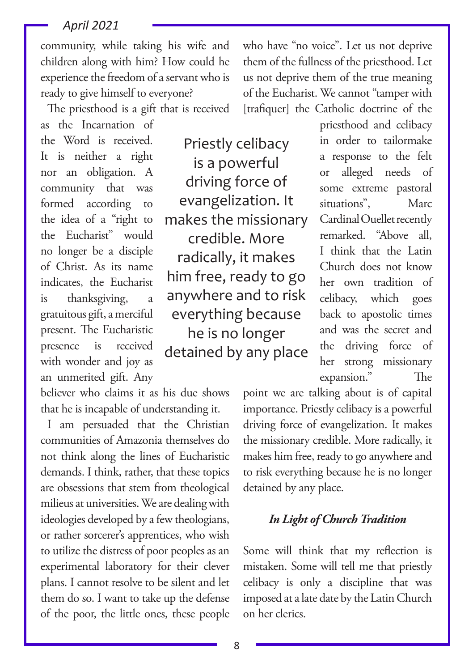community, while taking his wife and children along with him? How could he experience the freedom of a servant who is ready to give himself to everyone?

The priesthood is a gift that is received

who have "no voice". Let us not deprive them of the fullness of the priesthood. Let us not deprive them of the true meaning of the Eucharist. We cannot "tamper with [trafiquer] the Catholic doctrine of the

as the Incarnation of the Word is received. It is neither a right nor an obligation. A community that was formed according to the idea of a "right to the Eucharist" would no longer be a disciple of Christ. As its name indicates, the Eucharist is thanksgiving, a gratuitous gift, a merciful present. The Eucharistic presence is received with wonder and joy as an unmerited gift. Any

believer who claims it as his due shows that he is incapable of understanding it.

I am persuaded that the Christian communities of Amazonia themselves do not think along the lines of Eucharistic demands. I think, rather, that these topics are obsessions that stem from theological milieus at universities. We are dealing with ideologies developed by a few theologians, or rather sorcerer's apprentices, who wish to utilize the distress of poor peoples as an experimental laboratory for their clever plans. I cannot resolve to be silent and let them do so. I want to take up the defense of the poor, the little ones, these people

Priestly celibacy is a powerful driving force of evangelization. It makes the missionary credible. More radically, it makes him free, ready to go anywhere and to risk everything because he is no longer detained by any place

priesthood and celibacy in order to tailormake a response to the felt or alleged needs of some extreme pastoral situations", Marc Cardinal Ouellet recently remarked. "Above all, I think that the Latin Church does not know her own tradition of celibacy, which goes back to apostolic times and was the secret and the driving force of her strong missionary expansion." The

point we are talking about is of capital importance. Priestly celibacy is a powerful driving force of evangelization. It makes the missionary credible. More radically, it makes him free, ready to go anywhere and to risk everything because he is no longer detained by any place.

#### *In Light of Church Tradition*

Some will think that my reflection is mistaken. Some will tell me that priestly celibacy is only a discipline that was imposed at a late date by the Latin Church on her clerics.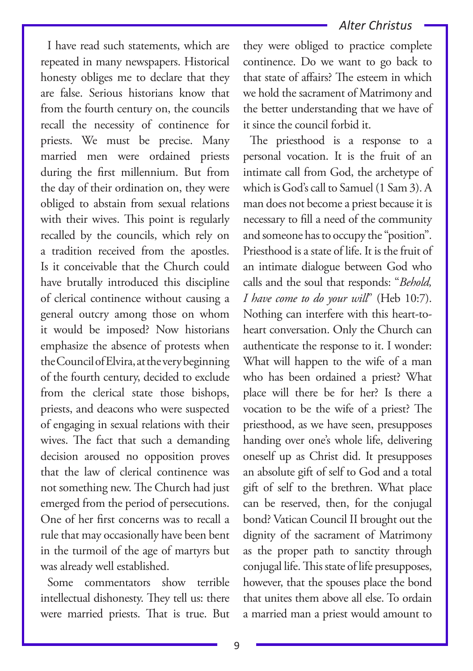I have read such statements, which are repeated in many newspapers. Historical honesty obliges me to declare that they are false. Serious historians know that from the fourth century on, the councils recall the necessity of continence for priests. We must be precise. Many married men were ordained priests during the first millennium. But from the day of their ordination on, they were obliged to abstain from sexual relations with their wives. This point is regularly recalled by the councils, which rely on a tradition received from the apostles. Is it conceivable that the Church could have brutally introduced this discipline of clerical continence without causing a general outcry among those on whom it would be imposed? Now historians emphasize the absence of protests when the Council of Elvira, at the very beginning of the fourth century, decided to exclude from the clerical state those bishops, priests, and deacons who were suspected of engaging in sexual relations with their wives. The fact that such a demanding decision aroused no opposition proves that the law of clerical continence was not something new. The Church had just emerged from the period of persecutions. One of her first concerns was to recall a rule that may occasionally have been bent in the turmoil of the age of martyrs but was already well established.

Some commentators show terrible intellectual dishonesty. They tell us: there were married priests. That is true. But

they were obliged to practice complete continence. Do we want to go back to that state of affairs? The esteem in which we hold the sacrament of Matrimony and the better understanding that we have of it since the council forbid it.

The priesthood is a response to a personal vocation. It is the fruit of an intimate call from God, the archetype of which is God's call to Samuel (1 Sam 3). A man does not become a priest because it is necessary to fill a need of the community and someone has to occupy the "position". Priesthood is a state of life. It is the fruit of an intimate dialogue between God who calls and the soul that responds: "*Behold, I have come to do your will*" (Heb 10:7). Nothing can interfere with this heart-toheart conversation. Only the Church can authenticate the response to it. I wonder: What will happen to the wife of a man who has been ordained a priest? What place will there be for her? Is there a vocation to be the wife of a priest? The priesthood, as we have seen, presupposes handing over one's whole life, delivering oneself up as Christ did. It presupposes an absolute gift of self to God and a total gift of self to the brethren. What place can be reserved, then, for the conjugal bond? Vatican Council II brought out the dignity of the sacrament of Matrimony as the proper path to sanctity through conjugal life. This state of life presupposes, however, that the spouses place the bond that unites them above all else. To ordain a married man a priest would amount to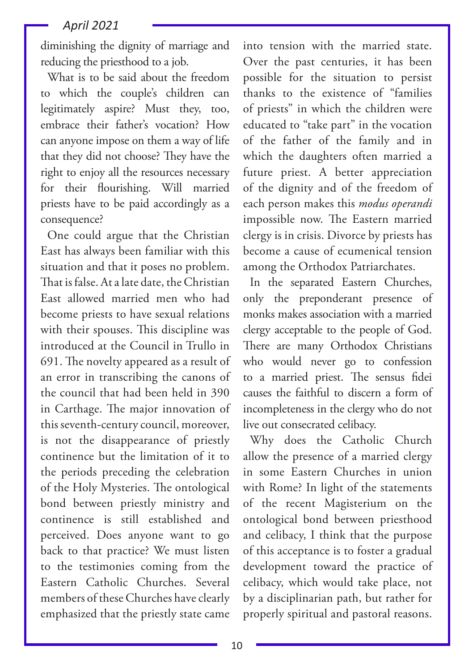diminishing the dignity of marriage and reducing the priesthood to a job.

What is to be said about the freedom to which the couple's children can legitimately aspire? Must they, too, embrace their father's vocation? How can anyone impose on them a way of life that they did not choose? They have the right to enjoy all the resources necessary for their flourishing. Will married priests have to be paid accordingly as a consequence?

One could argue that the Christian East has always been familiar with this situation and that it poses no problem. That is false. At a late date, the Christian East allowed married men who had become priests to have sexual relations with their spouses. This discipline was introduced at the Council in Trullo in 691. The novelty appeared as a result of an error in transcribing the canons of the council that had been held in 390 in Carthage. The major innovation of this seventh-century council, moreover, is not the disappearance of priestly continence but the limitation of it to the periods preceding the celebration of the Holy Mysteries. The ontological bond between priestly ministry and continence is still established and perceived. Does anyone want to go back to that practice? We must listen to the testimonies coming from the Eastern Catholic Churches. Several members of these Churches have clearly emphasized that the priestly state came

into tension with the married state. Over the past centuries, it has been possible for the situation to persist thanks to the existence of "families of priests" in which the children were educated to "take part" in the vocation of the father of the family and in which the daughters often married a future priest. A better appreciation of the dignity and of the freedom of each person makes this *modus operandi* impossible now. The Eastern married clergy is in crisis. Divorce by priests has become a cause of ecumenical tension among the Orthodox Patriarchates.

In the separated Eastern Churches, only the preponderant presence of monks makes association with a married clergy acceptable to the people of God. There are many Orthodox Christians who would never go to confession to a married priest. The sensus fidei causes the faithful to discern a form of incompleteness in the clergy who do not live out consecrated celibacy.

Why does the Catholic Church allow the presence of a married clergy in some Eastern Churches in union with Rome? In light of the statements of the recent Magisterium on the ontological bond between priesthood and celibacy, I think that the purpose of this acceptance is to foster a gradual development toward the practice of celibacy, which would take place, not by a disciplinarian path, but rather for properly spiritual and pastoral reasons.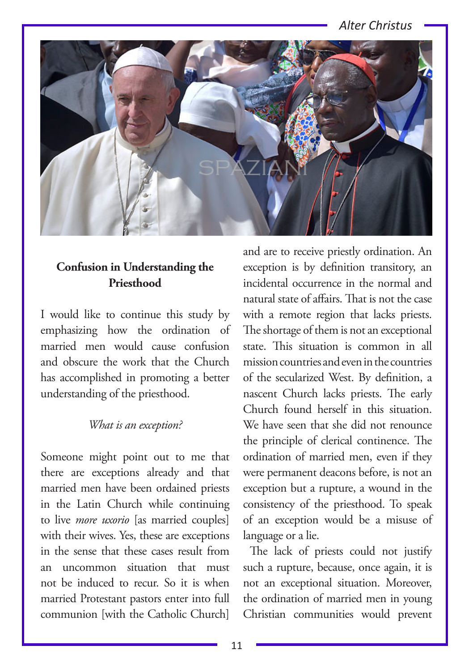

#### **Confusion in Understanding the Priesthood**

I would like to continue this study by emphasizing how the ordination of married men would cause confusion and obscure the work that the Church has accomplished in promoting a better understanding of the priesthood.

#### *What is an exception?*

Someone might point out to me that there are exceptions already and that married men have been ordained priests in the Latin Church while continuing to live *more uxorio* [as married couples] with their wives. Yes, these are exceptions in the sense that these cases result from an uncommon situation that must not be induced to recur. So it is when married Protestant pastors enter into full communion [with the Catholic Church]

and are to receive priestly ordination. An exception is by definition transitory, an incidental occurrence in the normal and natural state of affairs. That is not the case with a remote region that lacks priests. The shortage of them is not an exceptional state. This situation is common in all mission countries and even in the countries of the secularized West. By definition, a nascent Church lacks priests. The early Church found herself in this situation. We have seen that she did not renounce the principle of clerical continence. The ordination of married men, even if they were permanent deacons before, is not an exception but a rupture, a wound in the consistency of the priesthood. To speak of an exception would be a misuse of language or a lie.

The lack of priests could not justify such a rupture, because, once again, it is not an exceptional situation. Moreover, the ordination of married men in young Christian communities would prevent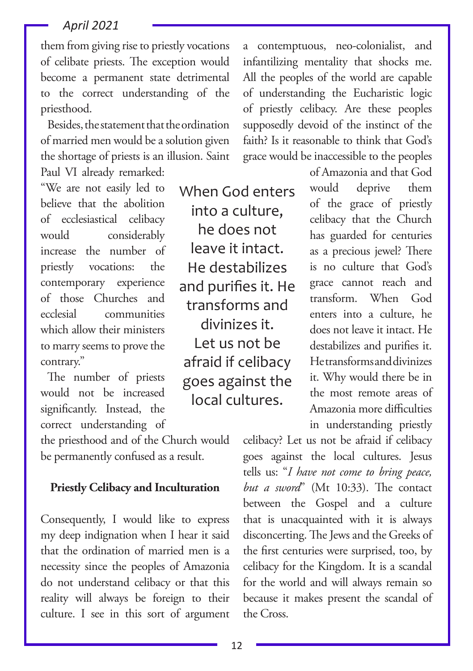them from giving rise to priestly vocations of celibate priests. The exception would become a permanent state detrimental to the correct understanding of the priesthood.

Besides, the statement that the ordination of married men would be a solution given the shortage of priests is an illusion. Saint Paul VI already remarked:

"We are not easily led to believe that the abolition of ecclesiastical celibacy would considerably increase the number of priestly vocations: the contemporary experience of those Churches and ecclesial communities which allow their ministers to marry seems to prove the contrary."

The number of priests would not be increased significantly. Instead, the correct understanding of

the priesthood and of the Church would be permanently confused as a result.

#### **Priestly Celibacy and Inculturation**

Consequently, I would like to express my deep indignation when I hear it said that the ordination of married men is a necessity since the peoples of Amazonia do not understand celibacy or that this reality will always be foreign to their culture. I see in this sort of argument

a contemptuous, neo-colonialist, and infantilizing mentality that shocks me. All the peoples of the world are capable of understanding the Eucharistic logic of priestly celibacy. Are these peoples supposedly devoid of the instinct of the faith? Is it reasonable to think that God's grace would be inaccessible to the peoples

> of Amazonia and that God would deprive them of the grace of priestly celibacy that the Church has guarded for centuries as a precious jewel? There is no culture that God's grace cannot reach and transform. When God enters into a culture, he does not leave it intact. He destabilizes and purifies it. He transforms and divinizes it. Why would there be in the most remote areas of Amazonia more difficulties in understanding priestly

celibacy? Let us not be afraid if celibacy goes against the local cultures. Jesus tells us: "*I have not come to bring peace, but a sword*" (Mt 10:33). The contact between the Gospel and a culture that is unacquainted with it is always disconcerting. The Jews and the Greeks of the first centuries were surprised, too, by celibacy for the Kingdom. It is a scandal for the world and will always remain so because it makes present the scandal of the Cross.

12

When God enters into a culture, he does not leave it intact. He destabilizes and purifies it. He transforms and divinizes it. Let us not be afraid if celibacy goes against the local cultures.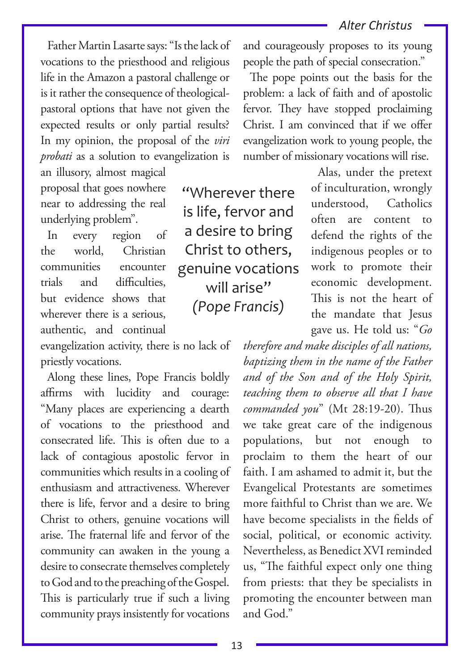Father Martin Lasarte says: "Is the lack of vocations to the priesthood and religious life in the Amazon a pastoral challenge or is it rather the consequence of theologicalpastoral options that have not given the expected results or only partial results? In my opinion, the proposal of the *viri probati* as a solution to evangelization is

an illusory, almost magical proposal that goes nowhere near to addressing the real underlying problem".

In every region of the world, Christian communities encounter trials and difficulties, but evidence shows that wherever there is a serious. authentic, and continual

evangelization activity, there is no lack of priestly vocations.

Along these lines, Pope Francis boldly affirms with lucidity and courage: "Many places are experiencing a dearth of vocations to the priesthood and consecrated life. This is often due to a lack of contagious apostolic fervor in communities which results in a cooling of enthusiasm and attractiveness. Wherever there is life, fervor and a desire to bring Christ to others, genuine vocations will arise. The fraternal life and fervor of the community can awaken in the young a desire to consecrate themselves completely to God and to the preaching of the Gospel. This is particularly true if such a living community prays insistently for vocations

"Wherever there is life, fervor and a desire to bring Christ to others, genuine vocations will arise" *(Pope Francis)*

and courageously proposes to its young people the path of special consecration."

The pope points out the basis for the problem: a lack of faith and of apostolic fervor. They have stopped proclaiming Christ. I am convinced that if we offer evangelization work to young people, the number of missionary vocations will rise.

> Alas, under the pretext of inculturation, wrongly understood, Catholics often are content to defend the rights of the indigenous peoples or to work to promote their economic development. This is not the heart of the mandate that Jesus gave us. He told us: "*Go*

*therefore and make disciples of all nations, baptizing them in the name of the Father and of the Son and of the Holy Spirit, teaching them to observe all that I have commanded you*" (Mt 28:19-20). Thus we take great care of the indigenous populations, but not enough to proclaim to them the heart of our faith. I am ashamed to admit it, but the Evangelical Protestants are sometimes more faithful to Christ than we are. We have become specialists in the fields of social, political, or economic activity. Nevertheless, as Benedict XVI reminded us, "The faithful expect only one thing from priests: that they be specialists in promoting the encounter between man and God."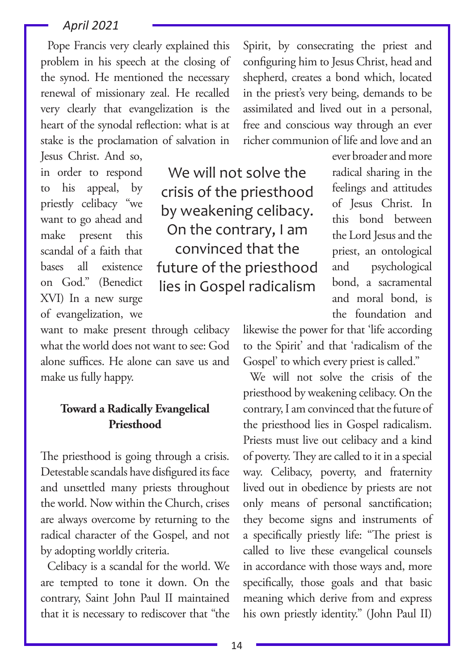Pope Francis very clearly explained this problem in his speech at the closing of the synod. He mentioned the necessary renewal of missionary zeal. He recalled very clearly that evangelization is the heart of the synodal reflection: what is at stake is the proclamation of salvation in Jesus Christ. And so,

in order to respond to his appeal, by priestly celibacy "we want to go ahead and make present this scandal of a faith that bases all existence on God." (Benedict XVI) In a new surge of evangelization, we

want to make present through celibacy what the world does not want to see: God alone suffices. He alone can save us and make us fully happy.

#### **Toward a Radically Evangelical Priesthood**

The priesthood is going through a crisis. Detestable scandals have disfigured its face and unsettled many priests throughout the world. Now within the Church, crises are always overcome by returning to the radical character of the Gospel, and not by adopting worldly criteria.

Celibacy is a scandal for the world. We are tempted to tone it down. On the contrary, Saint John Paul II maintained that it is necessary to rediscover that "the

Spirit, by consecrating the priest and configuring him to Jesus Christ, head and shepherd, creates a bond which, located in the priest's very being, demands to be assimilated and lived out in a personal, free and conscious way through an ever richer communion of life and love and an

We will not solve the crisis of the priesthood by weakening celibacy. On the contrary, I am convinced that the future of the priesthood lies in Gospel radicalism

ever broader and more radical sharing in the feelings and attitudes of Jesus Christ. In this bond between the Lord Jesus and the priest, an ontological and psychological bond, a sacramental and moral bond, is the foundation and

likewise the power for that 'life according to the Spirit' and that 'radicalism of the Gospel' to which every priest is called."

We will not solve the crisis of the priesthood by weakening celibacy. On the contrary, I am convinced that the future of the priesthood lies in Gospel radicalism. Priests must live out celibacy and a kind of poverty. They are called to it in a special way. Celibacy, poverty, and fraternity lived out in obedience by priests are not only means of personal sanctification; they become signs and instruments of a specifically priestly life: "The priest is called to live these evangelical counsels in accordance with those ways and, more specifically, those goals and that basic meaning which derive from and express his own priestly identity." (John Paul II)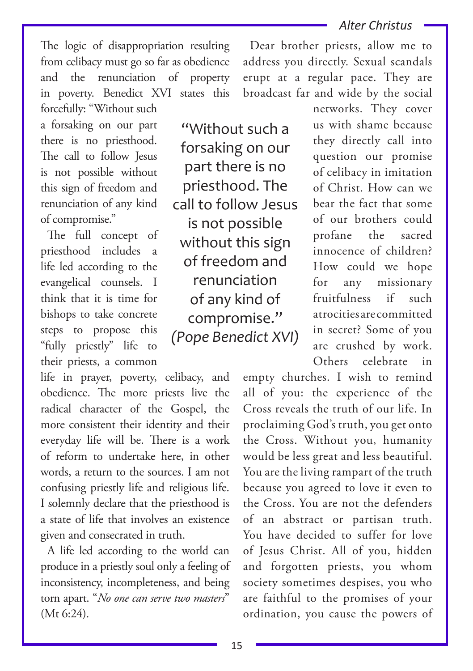The logic of disappropriation resulting from celibacy must go so far as obedience and the renunciation of property in poverty. Benedict XVI states this forcefully: "Without such

a forsaking on our part there is no priesthood. The call to follow Jesus is not possible without this sign of freedom and renunciation of any kind of compromise."

The full concept of priesthood includes a life led according to the evangelical counsels. I think that it is time for bishops to take concrete steps to propose this "fully priestly" life to their priests, a common

life in prayer, poverty, celibacy, and obedience. The more priests live the radical character of the Gospel, the more consistent their identity and their everyday life will be. There is a work of reform to undertake here, in other words, a return to the sources. I am not confusing priestly life and religious life. I solemnly declare that the priesthood is a state of life that involves an existence given and consecrated in truth.

A life led according to the world can produce in a priestly soul only a feeling of inconsistency, incompleteness, and being torn apart. "*No one can serve two masters*" (Mt 6:24).

"Without such a forsaking on our part there is no priesthood. The call to follow Jesus is not possible without this sign of freedom and renunciation of any kind of compromise." *(Pope Benedict XVI)*

Dear brother priests, allow me to address you directly. Sexual scandals erupt at a regular pace. They are broadcast far and wide by the social

> networks. They cover us with shame because they directly call into question our promise of celibacy in imitation of Christ. How can we bear the fact that some of our brothers could profane the sacred innocence of children? How could we hope for any missionary fruitfulness if such atrocities are committed in secret? Some of you are crushed by work. Others celebrate in

empty churches. I wish to remind all of you: the experience of the Cross reveals the truth of our life. In proclaiming God's truth, you get onto the Cross. Without you, humanity would be less great and less beautiful. You are the living rampart of the truth because you agreed to love it even to the Cross. You are not the defenders of an abstract or partisan truth. You have decided to suffer for love of Jesus Christ. All of you, hidden and forgotten priests, you whom society sometimes despises, you who are faithful to the promises of your ordination, you cause the powers of